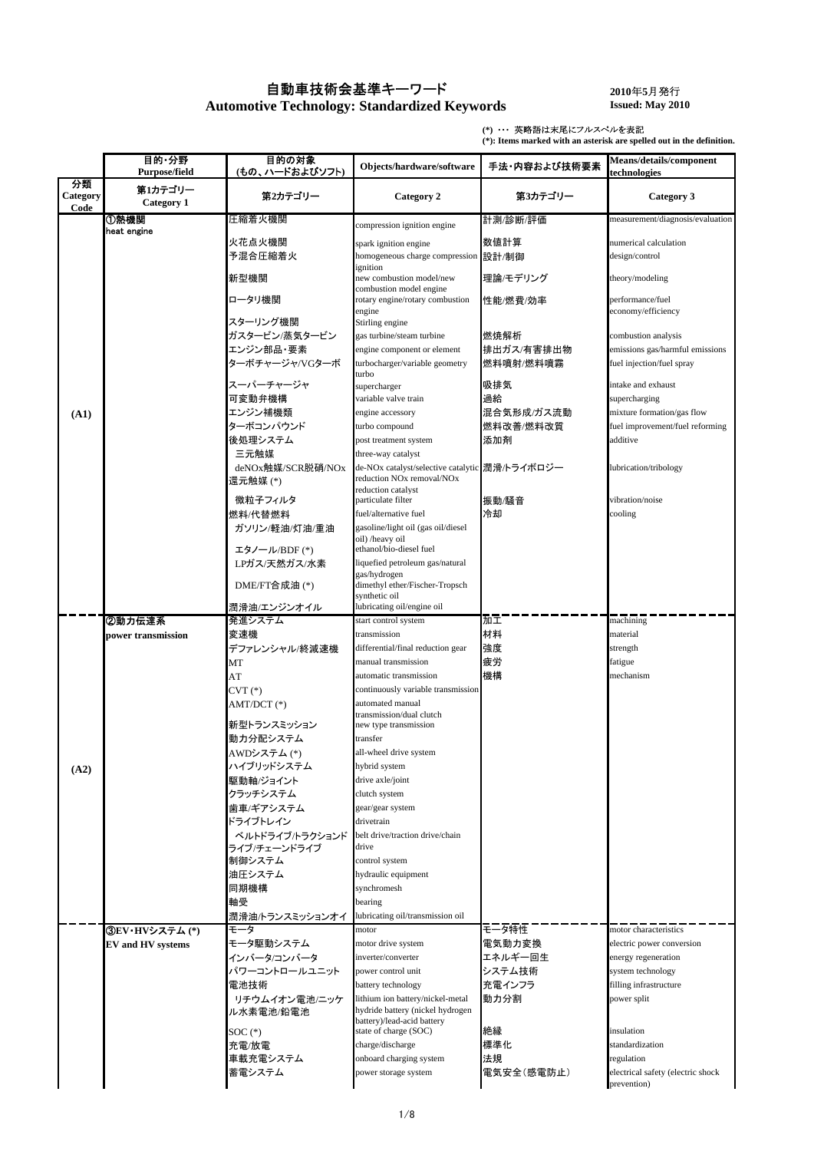## 自動車技術会基準キーワード

**Automotive Technology: Standardized Keywords**

**2010**年**5**月発行 **Issued: May 2010**

**(\*)** ・・・英略語は末尾にフルスペルを表記

**(\*): Items marked with an asterisk are spelled out in the definition.**

|                        | 目的·分野<br>Purpose/field   | 目的の対象<br>(もの、ハードおよびソフト)       | Objects/hardware/software                                                                           | 手法・内容および技術要素            | Means/details/component<br>technologies                      |
|------------------------|--------------------------|-------------------------------|-----------------------------------------------------------------------------------------------------|-------------------------|--------------------------------------------------------------|
| 分類<br>Category<br>Code | 第1カテゴリー<br>Category 1    | 第2カテゴリー                       | Category 2                                                                                          | 第3カテゴリー                 | Category 3                                                   |
|                        | ①熱機関                     | 圧縮着火機関                        | compression ignition engine                                                                         | 計測/診断/評価                | measurement/diagnosis/evaluation                             |
|                        | heat engine              | 火花点火機関<br>予混合圧縮着火             | spark ignition engine<br>homogeneous charge compression                                             | 数値計算<br>設計/制御           | numerical calculation<br>design/control                      |
|                        |                          | 新型機関                          | ignition<br>new combustion model/new                                                                | 理論/モデリング                | theory/modeling                                              |
|                        |                          | ロータリ機関                        | combustion model engine<br>rotary engine/rotary combustion                                          | 性能/燃費/効率                | performance/fuel                                             |
|                        |                          | スターリング機関                      | engine<br>Stirling engine                                                                           |                         | economy/efficiency                                           |
|                        |                          | ガスタービン/蒸気タービン                 | gas turbine/steam turbine                                                                           | 燃焼解析                    | combustion analysis                                          |
|                        |                          | エンジン部品・要素<br>ターボチャージャ/VGターボ   | engine component or element<br>turbocharger/variable geometry                                       | 排出ガス/有害排出物<br>燃料噴射/燃料噴霧 | emissions gas/harmful emissions<br>fuel injection/fuel spray |
|                        |                          | スーパーチャージャ                     | turbo<br>supercharger                                                                               | 吸排気                     | intake and exhaust                                           |
|                        |                          | 可変動弁機構                        | variable valve train                                                                                | 過給                      | supercharging                                                |
| (A1)                   |                          | エンジン補機類                       | engine accessory                                                                                    | 混合気形成/ガス流動              | mixture formation/gas flow                                   |
|                        |                          | ターボコンパウンド                     | turbo compound                                                                                      | 燃料改善/燃料改質               | fuel improvement/fuel reforming                              |
|                        |                          | 後処理システム<br>三元触媒               | post treatment system<br>three-way catalyst                                                         | 添加剤                     | additive                                                     |
|                        |                          | deNOx触媒/SCR脱硝/NOx<br>還元触媒 (*) | de-NOx catalyst/selective catalytic 潤滑/トライボロジー<br>reduction NO <sub>x</sub> removal/NO <sub>x</sub> |                         | lubrication/tribology                                        |
|                        |                          | 微粒子フィルタ                       | reduction catalyst<br>particulate filter                                                            | 振動/騒音                   | vibration/noise                                              |
|                        |                          | 燃料/代替燃料                       | fuel/alternative fuel                                                                               | 冷却                      | cooling                                                      |
|                        |                          | ガソリン/軽油/灯油/重油                 | gasoline/light oil (gas oil/diesel<br>oil) /heavy oil                                               |                         |                                                              |
|                        |                          | エタノール/BDF (*)                 | ethanol/bio-diesel fuel                                                                             |                         |                                                              |
|                        |                          | LPガス/天然ガス/水素                  | liquefied petroleum gas/natural                                                                     |                         |                                                              |
|                        |                          | DME/FT合成油(*)                  | gas/hydrogen<br>dimethyl ether/Fischer-Tropsch<br>synthetic oil                                     |                         |                                                              |
|                        |                          | 潤滑油/エンジンオイル                   | lubricating oil/engine oil                                                                          |                         |                                                              |
|                        | ②動力伝達系                   | 発進システム                        | start control system                                                                                | 加工                      | machining                                                    |
|                        | power transmission       | 変速機                           | transmission                                                                                        | 材料                      | material                                                     |
|                        |                          | デファレンシャル/終減速機                 | differential/final reduction gear                                                                   | 強度                      | strength                                                     |
|                        |                          | MT                            | manual transmission                                                                                 | 疲労                      | fatigue                                                      |
|                        |                          | AT                            | automatic transmission<br>continuously variable transmission                                        | 機構                      | mechanism                                                    |
|                        |                          | $CVT(*)$<br>AMT/DCT (*)       | automated manual                                                                                    |                         |                                                              |
|                        |                          |                               | transmission/dual clutch                                                                            |                         |                                                              |
|                        |                          | 新型トランスミッション                   | new type transmission                                                                               |                         |                                                              |
|                        |                          | 動力分配システム                      | transfer                                                                                            |                         |                                                              |
|                        |                          | AWDシステム(*)                    | all-wheel drive system                                                                              |                         |                                                              |
| (A2)                   |                          | ハイフリッドシステム                    | hybrid system                                                                                       |                         |                                                              |
|                        |                          | 駆動軸/ジョイント                     | drive axle/joint                                                                                    |                         |                                                              |
|                        |                          | クラッチシステム<br>歯車/ギアシステム         | clutch system<br>gear/gear system                                                                   |                         |                                                              |
|                        |                          | ドライブトレイン                      | drivetrain                                                                                          |                         |                                                              |
|                        |                          | ベルトドライブ/トラクションド               | belt drive/traction drive/chain                                                                     |                         |                                                              |
|                        |                          | ライブ/チェーンドライブ                  | drive                                                                                               |                         |                                                              |
|                        |                          | 制御システム                        | control system                                                                                      |                         |                                                              |
|                        |                          | 油圧システム                        | hydraulic equipment                                                                                 |                         |                                                              |
|                        |                          | 同期機構                          | synchromesh                                                                                         |                         |                                                              |
|                        |                          | 軸受                            | bearing<br>lubricating oil/transmission oil                                                         |                         |                                                              |
|                        | ③EV・HVシステム (*)           | 潤滑油/トランスミッションオイ<br>モータ        | motor                                                                                               | モータ特性                   | motor characteristics                                        |
|                        | <b>EV</b> and HV systems | モータ駆動システム                     | motor drive system                                                                                  | 電気動力変換                  | electric power conversion                                    |
|                        |                          | インバータ/コンバータ                   | inverter/converter                                                                                  | エネルギー回生                 | energy regeneration                                          |
|                        |                          | パワーコントロールユニット                 | power control unit                                                                                  | システム技術                  | system technology                                            |
|                        |                          | 電池技術                          | battery technology                                                                                  | 充電インフラ                  | filling infrastructure                                       |
|                        |                          | リチウムイオン電池/ニッケ<br>ル水素電池/鉛電池    | lithium ion battery/nickel-metal<br>hydride battery (nickel hydrogen                                | 動力分割                    | power split                                                  |
|                        |                          |                               | battery)/lead-acid battery                                                                          |                         |                                                              |
|                        |                          | $SOC(*)$                      | state of charge (SOC)<br>charge/discharge                                                           | 絶縁<br>標準化               | insulation<br>standardization                                |
|                        |                          | 充電/放電<br>車載充電システム             | onboard charging system                                                                             | 法規                      | regulation                                                   |
|                        |                          | 蓄電システム                        | power storage system                                                                                | 電気安全(感電防止)              | electrical safety (electric shock                            |
|                        |                          |                               |                                                                                                     |                         | prevention)                                                  |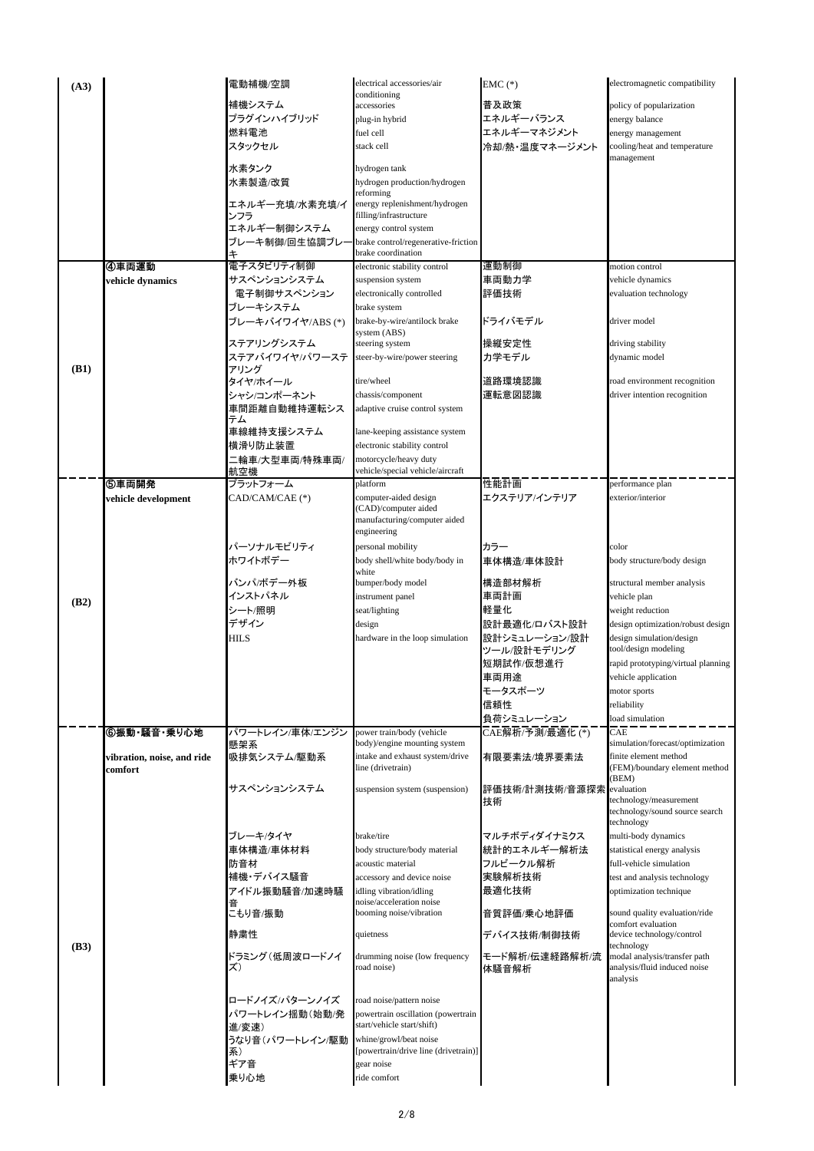| (A3) |                                       | 電動補機/空調                    | electrical accessories/air                                      | $EMC$ (*)            | electromagnetic compatibility                                |
|------|---------------------------------------|----------------------------|-----------------------------------------------------------------|----------------------|--------------------------------------------------------------|
|      |                                       | 補機システム                     | conditioning<br>accessories                                     | 普及政策                 | policy of popularization                                     |
|      |                                       | プラグインハイブリッド                | plug-in hybrid                                                  | エネルギーバランス            | energy balance                                               |
|      |                                       | 燃料電池                       | fuel cell                                                       | エネルギーマネジメント          | energy management                                            |
|      |                                       | スタックセル                     | stack cell                                                      | 冷却/熱・温度マネージメント       | cooling/heat and temperature                                 |
|      |                                       | 水素タンク                      | hydrogen tank                                                   |                      | management                                                   |
|      |                                       | 水素製造/改質                    | hydrogen production/hydrogen                                    |                      |                                                              |
|      |                                       |                            | reforming                                                       |                      |                                                              |
|      |                                       | エネルギー充填/水素充填/イ             | energy replenishment/hydrogen<br>filling/infrastructure         |                      |                                                              |
|      |                                       | ンフラ<br>エネルギー制御システム         | energy control system                                           |                      |                                                              |
|      |                                       | ブレ一キ制御/回生協調ブレ-             | brake control/regenerative-friction                             |                      |                                                              |
|      |                                       | キ                          | brake coordination                                              |                      |                                                              |
|      | ④車両運動                                 | 電子スタビリティ制御                 | electronic stability control                                    | 運動制御                 | motion control                                               |
|      | vehicle dynamics                      | サスペンションシステム<br>電子制御サスペンション | suspension system<br>electronically controlled                  | 車両動力学<br>評価技術        | vehicle dynamics<br>evaluation technology                    |
|      |                                       | ブレーキシステム                   | brake system                                                    |                      |                                                              |
|      |                                       | ブレーキバイワイヤ/ABS(*)           | brake-by-wire/antilock brake                                    | ドライバモデル              | driver model                                                 |
|      |                                       | ステアリングシステム                 | system (ABS)                                                    |                      |                                                              |
|      |                                       | ステアバイワイヤ/パワーステ             | steering system<br>steer-by-wire/power steering                 | 操縦安定性<br>カ学モデル       | driving stability<br>dynamic model                           |
| (B1) |                                       | アリング                       |                                                                 |                      |                                                              |
|      |                                       | タイヤ/ホイール                   | tire/wheel                                                      | 道路環境認識               | road environment recognition                                 |
|      |                                       | シャシ/コンポーネント                | chassis/component                                               | 運転意図認識               | driver intention recognition                                 |
|      |                                       | 車間距離自動維持運転シス<br>テム         | adaptive cruise control system                                  |                      |                                                              |
|      |                                       | 車線維持支援システム                 | lane-keeping assistance system                                  |                      |                                                              |
|      |                                       | 横滑り防止装置                    | electronic stability control                                    |                      |                                                              |
|      |                                       | 二輪車/大型車両/特殊車両/             | motorcycle/heavy duty                                           |                      |                                                              |
|      | ⑤車両開発                                 | 航空機<br>プラットフォーム            | vehicle/special vehicle/aircraft<br>platform                    | 性能計画                 | performance plan                                             |
|      | vehicle development                   | CAD/CAM/CAE (*)            | computer-aided design                                           | エクステリア/インテリア         | exterior/interior                                            |
|      |                                       |                            | CAD)/computer aided                                             |                      |                                                              |
|      |                                       |                            | manufacturing/computer aided<br>engineering                     |                      |                                                              |
|      |                                       | パーソナルモビリティ                 | personal mobility                                               | カラー                  | color                                                        |
|      |                                       | ホワイトボデー                    | body shell/white body/body in                                   | 車体構造/車体設計            | body structure/body design                                   |
|      |                                       |                            | white                                                           |                      |                                                              |
|      |                                       | バンパ/ボデー外板<br>インストパネル       | bumper/body model<br>instrument panel                           | 構造部材解析<br>車両計画       | structural member analysis<br>vehicle plan                   |
| (B2) |                                       | シート/照明                     | seat/lighting                                                   | 軽量化                  | weight reduction                                             |
|      |                                       | デザイン                       | design                                                          | 設計最適化/ロバスト設計         | design optimization/robust design                            |
|      |                                       | <b>HILS</b>                | hardware in the loop simulation                                 | 設計シミュレーション/設計        | design simulation/design                                     |
|      |                                       |                            |                                                                 | ツール/設計モデリング          | tool/design modeling                                         |
|      |                                       |                            |                                                                 | 短期試作/仮想進行<br>車両用途    | rapid prototyping/virtual planning                           |
|      |                                       |                            |                                                                 | モータスポーツ              | vehicle application<br>motor sports                          |
|      |                                       |                            |                                                                 | 信頼性                  | reliability                                                  |
|      |                                       |                            |                                                                 | 負荷シミュレーション           | load simulation                                              |
|      | ⑥振動・騒音・乗り心地                           | パワートレイン/車体/エンジン            | power train/body (vehicle                                       | CAE解析/予測/最適化 (*)     | CAE                                                          |
|      |                                       | 懸架系<br>吸排気システム/駆動系         | body)/engine mounting system<br>intake and exhaust system/drive | 有限要素法/境界要素法          | simulation/forecast/optimization<br>finite element method    |
|      | vibration, noise, and ride<br>comfort |                            | line (drivetrain)                                               |                      | (FEM)/boundary element method                                |
|      |                                       | サスペンションシステム                | suspension system (suspension)                                  |                      | (BEM)<br>evaluation                                          |
|      |                                       |                            |                                                                 | 評価技術/計測技術/音源探索<br>技術 | technology/measurement                                       |
|      |                                       |                            |                                                                 |                      | technology/sound source search                               |
|      |                                       | ブレーキ/タイヤ                   | brake/tire                                                      | マルチボディダイナミクス         | technology<br>multi-body dynamics                            |
|      |                                       | 車体構造/車体材料                  | body structure/body material                                    | 統計的エネルギー解析法          | statistical energy analysis                                  |
|      |                                       | 防音材                        | acoustic material                                               | フルビークル解析             | full-vehicle simulation                                      |
|      |                                       | 補機・デバイス騒音                  | accessory and device noise                                      | 実験解析技術               | test and analysis technology                                 |
|      |                                       | アイドル振動騒音/加速時騒              | idling vibration/idling                                         | 最適化技術                | optimization technique                                       |
|      |                                       | 音<br>こもり音/振動               | noise/acceleration noise<br>booming noise/vibration             | 音質評価/乗心地評価           | sound quality evaluation/ride                                |
|      |                                       | 静粛性                        | quietness                                                       | デバイス技術/制御技術          | comfort evaluation<br>device technology/control              |
| (B3) |                                       |                            |                                                                 |                      | technology                                                   |
|      |                                       | ドラミング(低周波ロードノイ<br>ズ)       | drumming noise (low frequency<br>road noise)                    | モード解析/伝達経路解析/流       | modal analysis/transfer path<br>analysis/fluid induced noise |
|      |                                       |                            |                                                                 | 体騒音解析                | analysis                                                     |
|      |                                       | ロードノイズ/パターンノイズ             | road noise/pattern noise                                        |                      |                                                              |
|      |                                       | パワートレイン揺動(始動/発             | powertrain oscillation (powertrain                              |                      |                                                              |
|      |                                       | 進/変速)                      | start/vehicle start/shift)                                      |                      |                                                              |
|      |                                       | うなり音(パワートレイン/駆動            | whine/growl/beat noise                                          |                      |                                                              |
|      |                                       | 系)<br>ギア音                  | powertrain/drive line (drivetrain)]<br>gear noise               |                      |                                                              |
|      |                                       | 乗り心地                       | ride comfort                                                    |                      |                                                              |
|      |                                       |                            |                                                                 |                      |                                                              |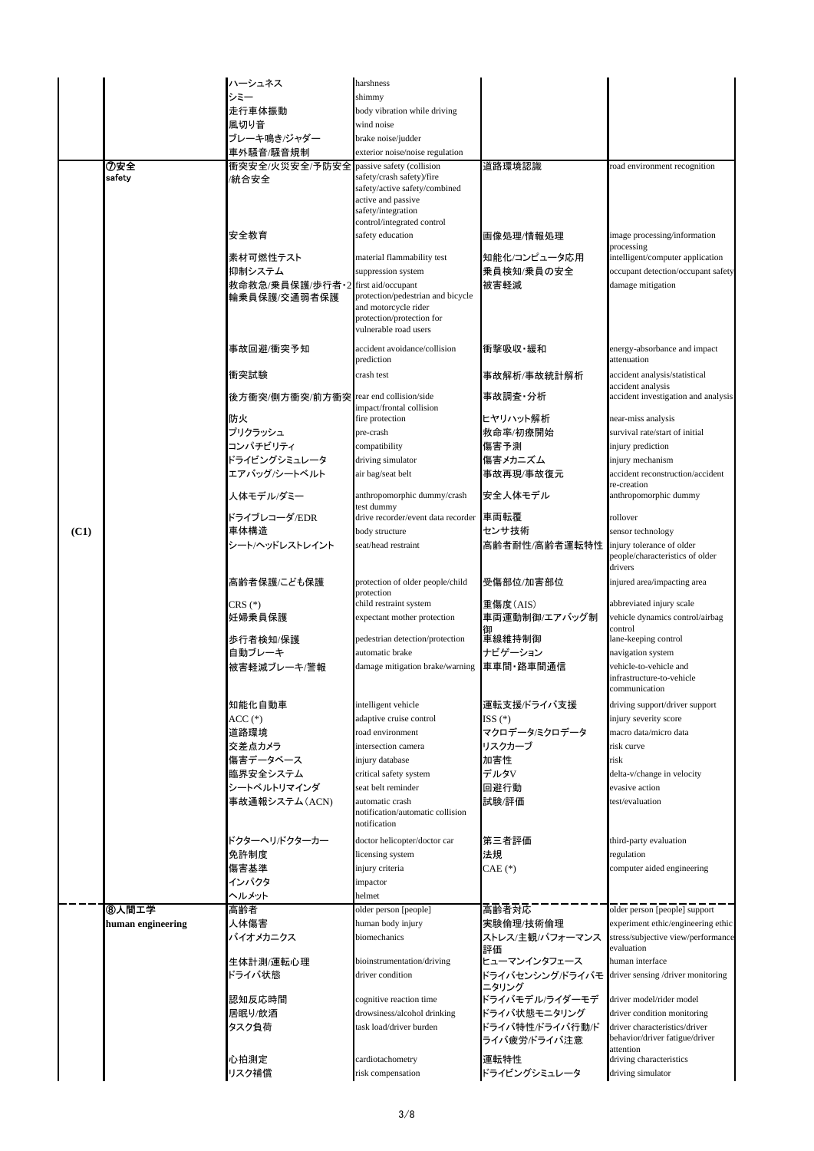|      |                   | ハーシュネス                          | harshness                                                                                                                             |                                 |                                                                        |
|------|-------------------|---------------------------------|---------------------------------------------------------------------------------------------------------------------------------------|---------------------------------|------------------------------------------------------------------------|
|      |                   | シミー                             | shimmy                                                                                                                                |                                 |                                                                        |
|      |                   | 走行車体振動                          | body vibration while driving                                                                                                          |                                 |                                                                        |
|      |                   | 風切り音                            | wind noise                                                                                                                            |                                 |                                                                        |
|      |                   | ブレーキ鳴き/ジャダー                     | brake noise/judder                                                                                                                    |                                 |                                                                        |
|      |                   |                                 |                                                                                                                                       |                                 |                                                                        |
|      |                   | 車外騒音/騒音規制                       | exterior noise/noise regulation                                                                                                       | 道路環境認識                          |                                                                        |
|      | ⑦安全<br>safety     | 衝突安全/火災安全/予防安全<br>/統合安全         | passive safety (collision<br>safety/crash safety)/fire<br>safety/active safety/combined<br>active and passive<br>safety/integration   |                                 | oad environment recognition                                            |
|      |                   | 安全教育                            | control/integrated control<br>safety education                                                                                        | 画像処理/情報処理                       | image processing/information<br>processing                             |
|      |                   | 素材可燃性テスト                        | material flammability test                                                                                                            | 知能化/コンピュータ応用                    | intelligent/computer application                                       |
|      |                   | 抑制システム                          | suppression system                                                                                                                    | 乗員検知/乗員の安全                      | occupant detection/occupant safety                                     |
|      |                   | 救命救急/乗員保護/歩行者・2<br>輪乗員保護/交通弱者保護 | first aid/occupant<br>protection/pedestrian and bicycle<br>and motorcycle rider<br>protection/protection for<br>vulnerable road users | 被害軽減                            | damage mitigation                                                      |
|      |                   | 事故回避/衝突予知                       | accident avoidance/collision<br>prediction                                                                                            | 衝撃吸収·緩和                         | energy-absorbance and impact<br>attenuation                            |
|      |                   | 衝突試験                            | crash test                                                                                                                            | 事故解析/事故統計解析                     | accident analysis/statistical                                          |
|      |                   | 後方衝突/側方衝突/前方衝突                  | rear end collision/side<br>impact/frontal collision                                                                                   | 事故調査·分析                         | accident analysis<br>accident investigation and analysis               |
|      |                   | 防火                              | fire protection                                                                                                                       | ヒヤリハット解析                        | near-miss analysis                                                     |
|      |                   | プリクラッシュ                         | pre-crash                                                                                                                             | 救命率/初療開始                        | survival rate/start of initial                                         |
|      |                   | コンパチビリティ                        | compatibility                                                                                                                         | 傷害予測                            | injury prediction                                                      |
|      |                   | ドライビングシミュレータ                    | driving simulator                                                                                                                     | 傷害メカニズム                         | injury mechanism                                                       |
|      |                   | エアバッグ/シートベルト                    | air bag/seat belt                                                                                                                     | 事故再現/事故復元                       | accident reconstruction/accident                                       |
|      |                   | 人体モデル/ダミー                       | anthropomorphic dummy/crash                                                                                                           | 安全人体モデル                         | re-creation<br>anthropomorphic dummy                                   |
|      |                   | ドライブレコーダ/EDR                    | test dummy<br>drive recorder/event data recorder                                                                                      | 車両転覆                            | rollover                                                               |
| (C1) |                   | 車体構造                            | body structure                                                                                                                        | センサ技術                           | sensor technology                                                      |
|      |                   | シート/ヘッドレストレイント                  | seat/head restraint                                                                                                                   | 高齡者耐性/高齡者運転特性                   | injury tolerance of older                                              |
|      |                   |                                 |                                                                                                                                       |                                 | people/characteristics of older<br>drivers                             |
|      |                   | 高齢者保護/こども保護                     | protection of older people/child<br>protection                                                                                        | 受傷部位/加害部位                       | injured area/impacting area                                            |
|      |                   | $CRS$ $(*)$<br>妊婦乗員保護           | child restraint system<br>expectant mother protection                                                                                 | 重傷度(AIS)<br>車両運動制御/エアバッグ制<br>御  | abbreviated injury scale<br>vehicle dynamics control/airbag<br>control |
|      |                   | 歩行者検知/保護                        | pedestrian detection/protection                                                                                                       | 車線維持制御                          | lane-keeping control                                                   |
|      |                   | 自動ブレーキ                          | automatic brake                                                                                                                       | ナビゲーション                         | navigation system                                                      |
|      |                   | 被害軽減ブレーキ/警報                     | damage mitigation brake/warning                                                                                                       | 車車間・路車間通信                       | vehicle-to-vehicle and<br>infrastructure-to-vehicle<br>communication   |
|      |                   | 知能化自動車                          | intelligent vehicle                                                                                                                   | 運転支援バライバ支援                      | driving support/driver support                                         |
|      |                   | $ACC(*)$                        | adaptive cruise control                                                                                                               | ISS (*)                         | injury severity score                                                  |
|      |                   | 道路環境                            | road environment                                                                                                                      | マクロデータ/ミクロデータ                   | macro data/micro data                                                  |
|      |                   | 交差点カメラ                          | intersection camera                                                                                                                   | リスクカーブ                          | risk curve                                                             |
|      |                   | 傷害データベース                        | injury database                                                                                                                       | 加害性                             | risk                                                                   |
|      |                   | 臨界安全システム                        | critical safety system                                                                                                                | デルタV                            | delta-v/change in velocity                                             |
|      |                   | シートベルトリマインダ                     | seat belt reminder                                                                                                                    | 回避行動                            | evasive action                                                         |
|      |                   | 事故通報システム(ACN)                   | automatic crash<br>notification/automatic collision<br>notification                                                                   | 試験/評価                           | test/evaluation                                                        |
|      |                   | ドクターヘリ/ドクターカー                   | doctor helicopter/doctor car                                                                                                          | 第三者評価                           | third-party evaluation                                                 |
|      |                   | 免許制度                            | licensing system                                                                                                                      | 法規                              | regulation                                                             |
|      |                   | 傷害基準                            | injury criteria                                                                                                                       | CAE (*)                         | computer aided engineering                                             |
|      |                   | インパクタ                           | impactor                                                                                                                              |                                 |                                                                        |
|      |                   | ヘルメット                           | helmet                                                                                                                                |                                 |                                                                        |
|      | ⑧人間工学             | 高齢者                             | older person [people]                                                                                                                 | 高齢者対応                           | older person [people] support                                          |
|      | human engineering | 人体傷害                            | human body injury                                                                                                                     | 実験倫理/技術倫理                       | experiment ethic/engineering ethic                                     |
|      |                   | バイオメカニクス                        | biomechanics                                                                                                                          | ストレス/主観/パフォーマンス<br>評価           | stress/subjective view/performance<br>evaluation                       |
|      |                   | 生体計測/運転心理<br>ドライバ状態             | bioinstrumentation/driving<br>driver condition                                                                                        | ヒューマンインタフェース<br>ドライバセンシングバライバモ  | human interface<br>driver sensing /driver monitoring                   |
|      |                   | 認知反応時間                          | cognitive reaction time                                                                                                               | ニタリング<br>ドライバモデル/ライダーモデ         | driver model/rider model                                               |
|      |                   | 居眠り/飲酒                          | drowsiness/alcohol drinking                                                                                                           | ドライバ状態モニタリング                    | driver condition monitoring                                            |
|      |                   | タスク負荷                           | task load/driver burden                                                                                                               | ドライバ特性/ドライバ行動/ド<br>ライバ疲労/ドライバ注意 | driver characteristics/driver<br>behavior/driver fatigue/driver        |
|      |                   | 心拍測定                            | cardiotachometry                                                                                                                      | 運転特性                            | attention<br>driving characteristics                                   |
|      |                   | リスク補償                           | risk compensation                                                                                                                     | ドライビングシミュレータ                    | driving simulator                                                      |
|      |                   |                                 |                                                                                                                                       |                                 |                                                                        |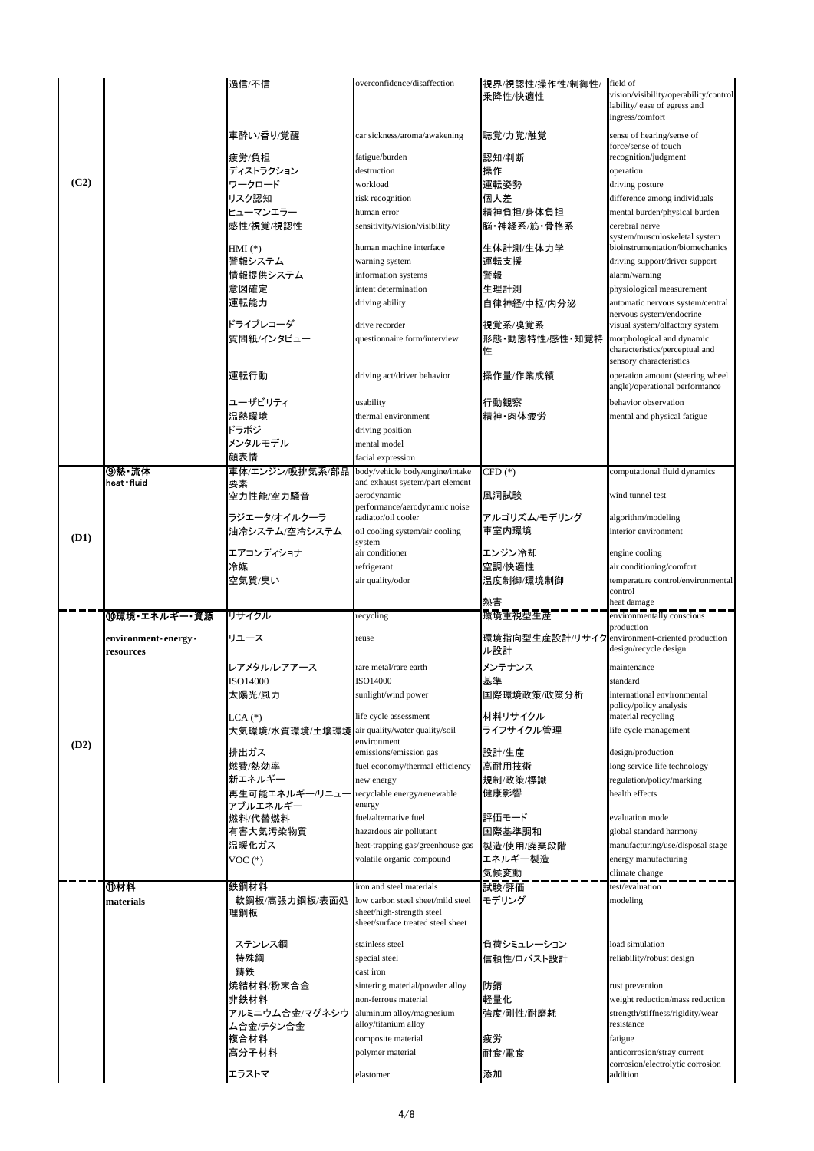|      |                    | 過信/不信                                         | overconfidence/disaffection                          | 視界/視認性/操作性/制御性/<br>乗降性/快適性                    | field of<br>vision/visibility/operability/control<br>lability/ ease of egress and<br>ingress/comfort |
|------|--------------------|-----------------------------------------------|------------------------------------------------------|-----------------------------------------------|------------------------------------------------------------------------------------------------------|
|      |                    | 車酔い/香り/覚醒                                     | car sickness/aroma/awakening                         | 聴覚/力覚/触覚                                      | sense of hearing/sense of<br>force/sense of touch                                                    |
|      |                    | 疲労/負担                                         | fatigue/burden                                       | 認知/判断                                         | recognition/judgment                                                                                 |
| (C2) |                    | ディストラクション                                     | destruction                                          | 操作                                            | operation                                                                                            |
|      |                    | ワークロード                                        | workload                                             | 運転姿勢                                          | driving posture                                                                                      |
|      |                    | リスク認知                                         | risk recognition                                     | 個人差                                           | difference among individuals                                                                         |
|      |                    | ヒューマンエラー                                      | human error                                          | 精神負担/身体負担                                     | mental burden/physical burden                                                                        |
|      |                    | 感性/視覚/視認性                                     | sensitivity/vision/visibility                        | 脳・神経系/筋・骨格系                                   | cerebral nerve<br>system/musculoskeletal system                                                      |
|      |                    | $HMI$ $(*)$                                   | human machine interface                              | 生体計測/生体力学                                     | bioinstrumentation/biomechanics                                                                      |
|      |                    | 警報システム                                        | warning system                                       | 運転支援                                          | driving support/driver support                                                                       |
|      |                    | 情報提供システム                                      | information systems                                  | 警報                                            | alarm/warning                                                                                        |
|      |                    | 意図確定                                          | intent determination                                 | 生理計測                                          | physiological measurement                                                                            |
|      |                    | 運転能力                                          | driving ability                                      | 自律神経/中枢/内分泌                                   | automatic nervous system/central                                                                     |
|      |                    | ドライブレコーダ                                      | drive recorder                                       | 視覚系/嗅覚系                                       | nervous system/endocrine<br>visual system/olfactory system                                           |
|      |                    | 質問紙/インタビュー                                    | questionnaire form/interview                         | 形態·動態特性/感性·知覚特                                | morphological and dynamic                                                                            |
|      |                    |                                               |                                                      | 性                                             | characteristics/perceptual and<br>sensory characteristics                                            |
|      |                    | 運転行動                                          | driving act/driver behavior                          | 操作量/作業成績                                      | operation amount (steering wheel<br>angle)/operational performance                                   |
|      |                    | ユーザビリティ                                       | usability                                            | 行動観察                                          | behavior observation                                                                                 |
|      |                    | 温熱環境                                          | thermal environment                                  | 精神·肉体疲労                                       | mental and physical fatigue                                                                          |
|      |                    | ドラポジ                                          | driving position                                     |                                               |                                                                                                      |
|      |                    | メンタルモデル                                       | mental model                                         |                                               |                                                                                                      |
|      | ⑨熱・流体              | 顔表情<br>車体/エンジン/吸排気系/部品                        | facial expression<br>body/vehicle body/engine/intake | $CFD(*)$                                      | computational fluid dynamics                                                                         |
|      | heat fluid         | 要素                                            | and exhaust system/part element                      |                                               |                                                                                                      |
|      |                    | 空力性能/空力騒音                                     | aerodynamic<br>performance/aerodynamic noise         | 風洞試験                                          | wind tunnel test                                                                                     |
|      |                    | ラジエータ/オイルクーラ                                  | radiator/oil cooler                                  | アルゴリズム/モデリング                                  | algorithm/modeling                                                                                   |
| (D1) |                    | 油冷システム/空冷システム                                 | oil cooling system/air cooling<br>system             | 車室内環境                                         | interior environment                                                                                 |
|      |                    | エアコンディショナ                                     | air conditioner                                      | エンジン冷却                                        | engine cooling                                                                                       |
|      |                    | 冷媒                                            | refrigerant                                          | 空調/快適性                                        | air conditioning/comfort                                                                             |
|      |                    | 空気質/臭い                                        | air quality/odor                                     | 温度制御/環境制御                                     | temperature control/environmental                                                                    |
|      |                    |                                               |                                                      |                                               |                                                                                                      |
|      |                    |                                               |                                                      |                                               | control                                                                                              |
|      | ⑩環境・エネルギー・資源       | リサイクル                                         | recycling                                            | 熱害<br>環境重視型生産                                 | heat damage<br>environmentally conscious                                                             |
|      | environment energy | リユース                                          | reuse                                                | 環境指向型生産設計/リサイクenvironment-oriented production | production                                                                                           |
|      | resources          |                                               |                                                      | ル設計                                           | design/recycle design                                                                                |
|      |                    | レアメタル/レアアース                                   | rare metal/rare earth                                | メンテナンス                                        | maintenance                                                                                          |
|      |                    | ISO14000                                      | ISO14000                                             | 基準                                            | standard                                                                                             |
|      |                    | 太陽光/風力                                        | sunlight/wind power                                  | 国際環境政策/政策分析                                   | international environmental                                                                          |
|      |                    | $LCA$ $(*)$                                   | life cycle assessment                                | 材料リサイクル                                       | policy/policy analysis<br>material recycling                                                         |
|      |                    | 大気環境/水質環境/土壌環境 air quality/water quality/soil |                                                      | ライフサイクル管理                                     | life cycle management                                                                                |
| (D2) |                    |                                               | environment                                          |                                               |                                                                                                      |
|      |                    | 排出ガス                                          | emissions/emission gas                               | 設計/生産                                         | design/production                                                                                    |
|      |                    | 燃費/熱効率<br>新エネルギー                              | fuel economy/thermal efficiency<br>new energy        | 高耐用技術                                         | long service life technology<br>regulation/policy/marking                                            |
|      |                    | 再生可能エネルギー/リニュー                                | recyclable energy/renewable                          | 規制/政策/標識<br>健康影響                              | health effects                                                                                       |
|      |                    | アブルエネルギー                                      | energy                                               |                                               |                                                                                                      |
|      |                    | 燃料/代替燃料                                       | fuel/alternative fuel                                | 評価モード                                         | evaluation mode                                                                                      |
|      |                    | 有害大気汚染物質                                      | hazardous air pollutant                              | 国際基準調和                                        | global standard harmony                                                                              |
|      |                    | 温暖化ガス                                         | heat-trapping gas/greenhouse gas                     | 製造/使用/廃棄段階                                    | manufacturing/use/disposal stage                                                                     |
|      |                    | $VOC(*)$                                      | volatile organic compound                            | エネルギー製造                                       | energy manufacturing                                                                                 |
|      |                    |                                               | iron and steel materials                             | 気候変動                                          | climate change                                                                                       |
|      | ⑪材料<br>materials   | 鉄鋼材料<br>軟鋼板/高張力鋼板/表面処                         | low carbon steel sheet/mild steel                    | 試験/評価<br>モデリング                                | test/evaluation<br>modeling                                                                          |
|      |                    | 理鋼板                                           | sheet/high-strength steel                            |                                               |                                                                                                      |
|      |                    |                                               | sheet/surface treated steel sheet                    |                                               |                                                                                                      |
|      |                    | ステンレス鋼                                        | stainless steel                                      | 負荷シミュレーション                                    | load simulation                                                                                      |
|      |                    | 特殊鋼                                           | special steel                                        | 信頼性/ロバスト設計                                    | reliability/robust design                                                                            |
|      |                    | 鋳鉄                                            | cast iron                                            |                                               |                                                                                                      |
|      |                    | 焼結材料/粉末合金                                     | sintering material/powder alloy                      | 防錆                                            | rust prevention                                                                                      |
|      |                    | 非鉄材料                                          | non-ferrous material                                 | 軽量化                                           | weight reduction/mass reduction                                                                      |
|      |                    | アルミニウム合金/マグネシウ                                | aluminum alloy/magnesium                             | 強度/剛性/耐磨耗                                     | strength/stiffness/rigidity/wear                                                                     |
|      |                    | ム合金/チタン合金                                     | alloy/titanium alloy                                 |                                               | resistance                                                                                           |
|      |                    | 複合材料                                          | composite material                                   | 疲労                                            | fatigue                                                                                              |
|      |                    | 高分子材料<br>エラストマ                                | polymer material<br>elastomer                        | 耐食/電食<br>添加                                   | anticorrosion/stray current<br>corrosion/electrolytic corrosion<br>addition                          |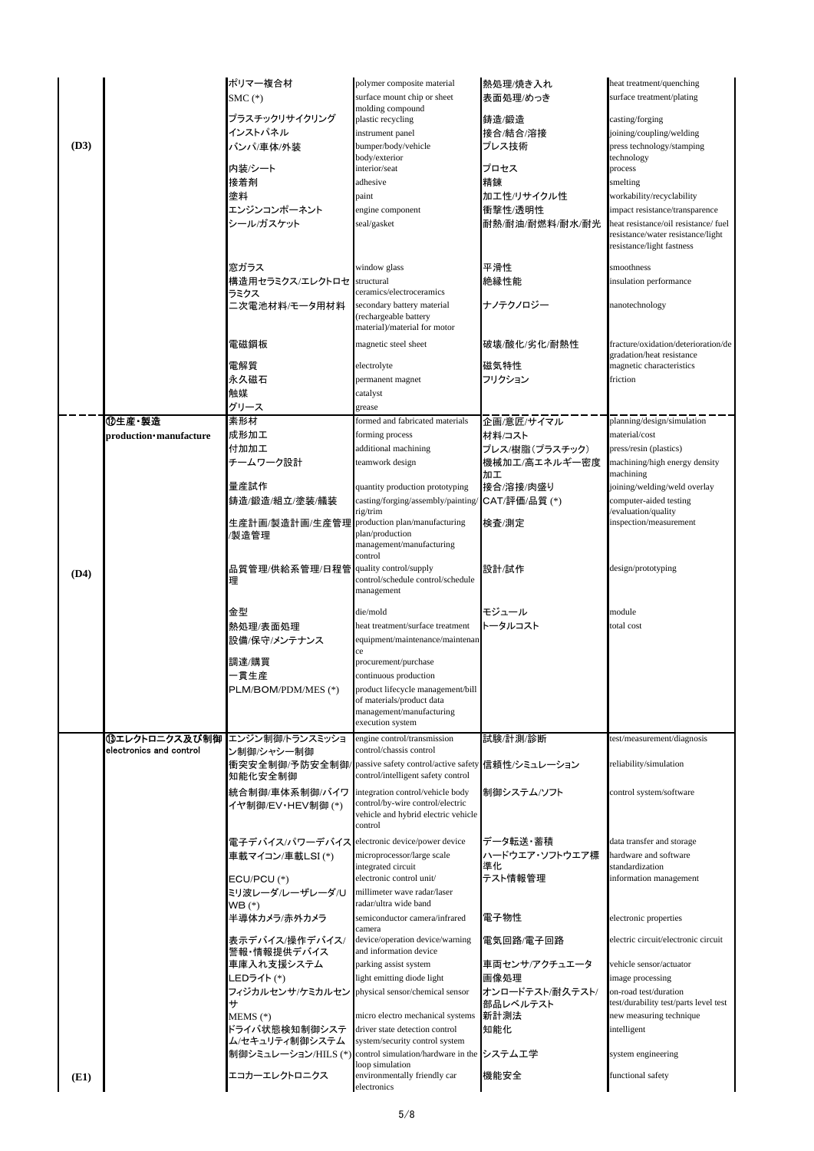| (D3) |                         | ポリマー複合材<br>$SMC$ $(*)$<br>プラスチックリサイクリング<br>インストパネル<br>バンパ/車体/外装<br>内装/シート<br>接着剤<br>塗料<br>エンジンコンポーネント<br>シール/ガスケット<br>窓ガラス<br>構造用セラミクス/エレクトロセ structural | polymer composite material<br>surface mount chip or sheet<br>molding compound<br>plastic recycling<br>instrument panel<br>bumper/body/vehicle<br>body/exterior<br>interior/seat<br>adhesive<br>paint<br>engine component<br>seal/gasket<br>window glass<br>ceramics/electroceramics | 熱処理/焼き入れ<br>表面処理/めっき<br>鋳造/鍛造<br>接合/結合/溶接<br>プレス技術<br>プロセス<br>精錬<br>加工性/リサイクル性<br>衝撃性/透明性<br>耐熱/耐油/耐燃料/耐水/耐光<br>平滑性<br>絶縁性能 | heat treatment/quenching<br>surface treatment/plating<br>casting/forging<br>joining/coupling/welding<br>press technology/stamping<br>technology<br>process<br>smelting<br>workability/recyclability<br>impact resistance/transparence<br>heat resistance/oil resistance/ fuel<br>resistance/water resistance/light<br>resistance/light fastness<br>smoothness<br>insulation performance |  |
|------|-------------------------|----------------------------------------------------------------------------------------------------------------------------------------------------------|-------------------------------------------------------------------------------------------------------------------------------------------------------------------------------------------------------------------------------------------------------------------------------------|-----------------------------------------------------------------------------------------------------------------------------|-----------------------------------------------------------------------------------------------------------------------------------------------------------------------------------------------------------------------------------------------------------------------------------------------------------------------------------------------------------------------------------------|--|
|      |                         | ラミクス<br>二次電池材料/モータ用材料                                                                                                                                    | secondary battery material<br>(rechargeable battery<br>material)/material for motor                                                                                                                                                                                                 | ナノテクノロジー                                                                                                                    | nanotechnology                                                                                                                                                                                                                                                                                                                                                                          |  |
|      |                         | 電磁鋼板<br>電解質                                                                                                                                              | magnetic steel sheet                                                                                                                                                                                                                                                                | 破壊/酸化/劣化/耐熱性<br>磁気特性                                                                                                        | fracture/oxidation/deterioration/de<br>gradation/heat resistance<br>magnetic characteristics                                                                                                                                                                                                                                                                                            |  |
|      |                         | 永久磁石                                                                                                                                                     | electrolyte<br>permanent magnet                                                                                                                                                                                                                                                     | フリクション                                                                                                                      | friction                                                                                                                                                                                                                                                                                                                                                                                |  |
|      |                         | 触媒                                                                                                                                                       | catalyst                                                                                                                                                                                                                                                                            |                                                                                                                             |                                                                                                                                                                                                                                                                                                                                                                                         |  |
|      |                         | グリース                                                                                                                                                     | grease                                                                                                                                                                                                                                                                              |                                                                                                                             |                                                                                                                                                                                                                                                                                                                                                                                         |  |
|      | 12生産·製造                 | 素形材                                                                                                                                                      | formed and fabricated materials                                                                                                                                                                                                                                                     | 企画/意匠/サイマル                                                                                                                  | planning/design/simulation                                                                                                                                                                                                                                                                                                                                                              |  |
|      | production manufacture  | 成形加工                                                                                                                                                     | forming process                                                                                                                                                                                                                                                                     | 材料/コスト                                                                                                                      | material/cost                                                                                                                                                                                                                                                                                                                                                                           |  |
|      |                         | 付加加工<br>チームワーク設計                                                                                                                                         | additional machining<br>teamwork design                                                                                                                                                                                                                                             | プレス/樹脂(プラスチック)<br>機械加工/高エネルギー密度                                                                                             | press/resin (plastics)<br>machining/high energy density                                                                                                                                                                                                                                                                                                                                 |  |
|      |                         |                                                                                                                                                          |                                                                                                                                                                                                                                                                                     | 加工                                                                                                                          | machining                                                                                                                                                                                                                                                                                                                                                                               |  |
|      |                         | 量産試作                                                                                                                                                     | quantity production prototyping                                                                                                                                                                                                                                                     | 接合/溶接/肉盛り                                                                                                                   | joining/welding/weld overlay                                                                                                                                                                                                                                                                                                                                                            |  |
|      |                         | 鋳造/鍛造/組立/塗装/艤装                                                                                                                                           | casting/forging/assembly/painting/ CAT/評価/品質(*)                                                                                                                                                                                                                                     |                                                                                                                             | computer-aided testing                                                                                                                                                                                                                                                                                                                                                                  |  |
|      |                         | 生産計画/製造計画/生産管理 production plan/manufacturing                                                                                                             | rig/trim                                                                                                                                                                                                                                                                            | 検査/測定                                                                                                                       | evaluation/quality<br>inspection/measurement                                                                                                                                                                                                                                                                                                                                            |  |
|      |                         | /製造管理                                                                                                                                                    | plan/production<br>management/manufacturing<br>control                                                                                                                                                                                                                              |                                                                                                                             |                                                                                                                                                                                                                                                                                                                                                                                         |  |
| (D4) |                         | 品質管理/供給系管理/日程管  quality control/supply<br>理                                                                                                              | control/schedule control/schedule<br>management                                                                                                                                                                                                                                     | 設計/試作                                                                                                                       | design/prototyping                                                                                                                                                                                                                                                                                                                                                                      |  |
|      |                         | 金型                                                                                                                                                       |                                                                                                                                                                                                                                                                                     | モジュール                                                                                                                       | module                                                                                                                                                                                                                                                                                                                                                                                  |  |
|      |                         | 熱処理/表面処理                                                                                                                                                 | die/mold<br>heat treatment/surface treatment                                                                                                                                                                                                                                        | トータルコスト                                                                                                                     | total cost                                                                                                                                                                                                                                                                                                                                                                              |  |
|      |                         | 設備/保守/メンテナンス                                                                                                                                             | equipment/maintenance/maintenan                                                                                                                                                                                                                                                     |                                                                                                                             |                                                                                                                                                                                                                                                                                                                                                                                         |  |
|      |                         |                                                                                                                                                          | ce                                                                                                                                                                                                                                                                                  |                                                                                                                             |                                                                                                                                                                                                                                                                                                                                                                                         |  |
|      |                         | 調達/購買<br>一貫生産                                                                                                                                            | procurement/purchase<br>continuous production                                                                                                                                                                                                                                       |                                                                                                                             |                                                                                                                                                                                                                                                                                                                                                                                         |  |
|      |                         | PLM/BOM/PDM/MES (*)                                                                                                                                      | product lifecycle management/bill                                                                                                                                                                                                                                                   |                                                                                                                             |                                                                                                                                                                                                                                                                                                                                                                                         |  |
|      |                         |                                                                                                                                                          | of materials/product data<br>management/manufacturing<br>execution system                                                                                                                                                                                                           |                                                                                                                             |                                                                                                                                                                                                                                                                                                                                                                                         |  |
|      |                         | 13エレクトロニクス及び制御 エンジン制御/トランスミッショ                                                                                                                           | engine control/transmission                                                                                                                                                                                                                                                         | 試験/計測/診断                                                                                                                    | test/measurement/diagnosis                                                                                                                                                                                                                                                                                                                                                              |  |
|      | electronics and control | ン制御/シャシ一制御                                                                                                                                               | control/chassis control                                                                                                                                                                                                                                                             |                                                                                                                             |                                                                                                                                                                                                                                                                                                                                                                                         |  |
|      |                         | 知能化安全制御                                                                                                                                                  | 衝突安全制御/予防安全制御/ passive safety control/active safety 信頼性/シミュレーション<br>control/intelligent safety control                                                                                                                                                                              |                                                                                                                             | reliability/simulation                                                                                                                                                                                                                                                                                                                                                                  |  |
|      |                         | 統合制御/車体系制御/バイワ integration control/vehicle body<br>イヤ制御/EV・HEV制御 (*)                                                                                     | control/by-wire control/electric<br>vehicle and hybrid electric vehicle<br>control                                                                                                                                                                                                  | 制御システム/ソフト                                                                                                                  | control system/software                                                                                                                                                                                                                                                                                                                                                                 |  |
|      |                         | 電子デバイス/パワーデバイス electronic device/power device                                                                                                            |                                                                                                                                                                                                                                                                                     | データ転送・蓄積                                                                                                                    | data transfer and storage                                                                                                                                                                                                                                                                                                                                                               |  |
|      |                         | 車載マイコン/車載LSI(*)                                                                                                                                          | microprocessor/large scale                                                                                                                                                                                                                                                          | ハードウエア・ソフトウエア標                                                                                                              | hardware and software                                                                                                                                                                                                                                                                                                                                                                   |  |
|      |                         | $ECU/PCU$ $(*)$                                                                                                                                          | integrated circuit<br>electronic control unit/                                                                                                                                                                                                                                      | 準化<br>テスト情報管理                                                                                                               | standardization<br>information management                                                                                                                                                                                                                                                                                                                                               |  |
|      |                         | ミリ波レーダ/レーザレーダ/U                                                                                                                                          | millimeter wave radar/laser                                                                                                                                                                                                                                                         |                                                                                                                             |                                                                                                                                                                                                                                                                                                                                                                                         |  |
|      |                         | $WB(*)$                                                                                                                                                  | radar/ultra wide band                                                                                                                                                                                                                                                               |                                                                                                                             |                                                                                                                                                                                                                                                                                                                                                                                         |  |
|      |                         | 半導体カメラ/赤外カメラ                                                                                                                                             | semiconductor camera/infrared                                                                                                                                                                                                                                                       | 電子物性                                                                                                                        | electronic properties                                                                                                                                                                                                                                                                                                                                                                   |  |
|      |                         | 表示デバイス/操作デバイス/                                                                                                                                           | camera<br>device/operation device/warning                                                                                                                                                                                                                                           | 電気回路/電子回路                                                                                                                   | electric circuit/electronic circuit                                                                                                                                                                                                                                                                                                                                                     |  |
|      |                         | 警報・情報提供デバイス                                                                                                                                              | and information device                                                                                                                                                                                                                                                              |                                                                                                                             |                                                                                                                                                                                                                                                                                                                                                                                         |  |
|      |                         | 車庫入れ支援システム                                                                                                                                               | parking assist system                                                                                                                                                                                                                                                               | 車両センサ/アクチュエータ                                                                                                               | vehicle sensor/actuator                                                                                                                                                                                                                                                                                                                                                                 |  |
|      |                         | LEDライト(*)                                                                                                                                                | light emitting diode light                                                                                                                                                                                                                                                          | 画像処理                                                                                                                        | image processing                                                                                                                                                                                                                                                                                                                                                                        |  |
|      |                         | フィジカルセンサ/ケミカルセン<br>++                                                                                                                                    | physical sensor/chemical sensor                                                                                                                                                                                                                                                     | オンロードテスト/耐久テスト/<br>部品レベルテスト                                                                                                 | on-road test/duration<br>test/durability test/parts level test                                                                                                                                                                                                                                                                                                                          |  |
|      |                         | MEMS (*)                                                                                                                                                 | micro electro mechanical systems                                                                                                                                                                                                                                                    | 新計測法                                                                                                                        | new measuring technique                                                                                                                                                                                                                                                                                                                                                                 |  |
|      |                         | ドライバ状態検知制御システ                                                                                                                                            | driver state detection control                                                                                                                                                                                                                                                      | 知能化                                                                                                                         | intelligent                                                                                                                                                                                                                                                                                                                                                                             |  |
|      |                         |                                                                                                                                                          |                                                                                                                                                                                                                                                                                     |                                                                                                                             |                                                                                                                                                                                                                                                                                                                                                                                         |  |
|      |                         | ム/セキュリティ制御システム                                                                                                                                           | system/security control system                                                                                                                                                                                                                                                      |                                                                                                                             |                                                                                                                                                                                                                                                                                                                                                                                         |  |
|      |                         |                                                                                                                                                          | 制御シミュレーション/HILS (*) control simulation/hardware in the システム工学<br>loop simulation                                                                                                                                                                                                    |                                                                                                                             | system engineering                                                                                                                                                                                                                                                                                                                                                                      |  |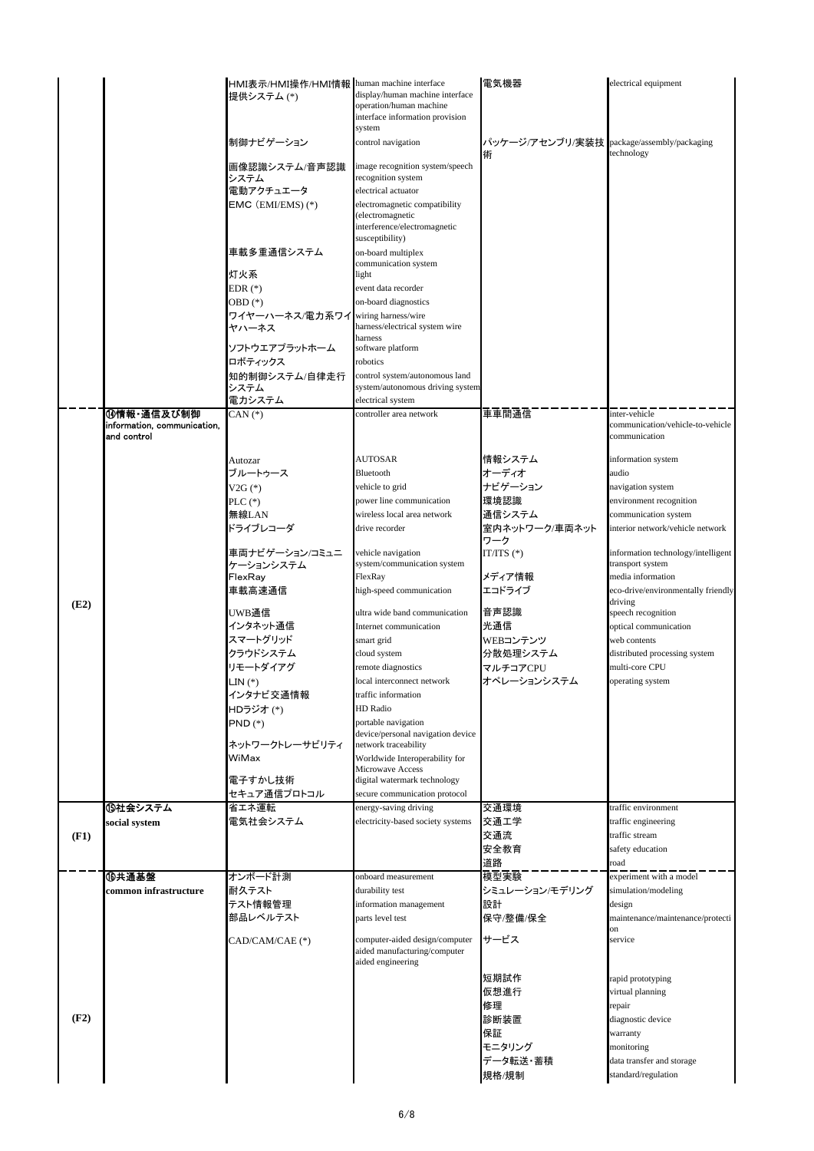|      |                             | HMI表示/HMI操作/HMI情報  human machine interface |                                                                                     | 電気機器                  | electrical equipment                          |
|------|-----------------------------|--------------------------------------------|-------------------------------------------------------------------------------------|-----------------------|-----------------------------------------------|
|      |                             | 提供システム (*)                                 | display/human machine interface<br>operation/human machine                          |                       |                                               |
|      |                             |                                            | interface information provision                                                     |                       |                                               |
|      |                             |                                            | system                                                                              |                       |                                               |
|      |                             | 制御ナビゲーション                                  | control navigation                                                                  | パッケージ/アセンブリ/実装技       | package/assembly/packaging                    |
|      |                             | 画像認識システム/音声認識                              | image recognition system/speech                                                     | 術                     | technology                                    |
|      |                             | システム                                       | recognition system                                                                  |                       |                                               |
|      |                             | 電動アクチュエータ                                  | electrical actuator                                                                 |                       |                                               |
|      |                             | EMC (EMI/EMS)(*)                           | electromagnetic compatibility                                                       |                       |                                               |
|      |                             |                                            | electromagnetic<br>interference/electromagnetic                                     |                       |                                               |
|      |                             |                                            | susceptibility)                                                                     |                       |                                               |
|      |                             | 車載多重通信システム                                 | on-board multiplex                                                                  |                       |                                               |
|      |                             | 灯火系                                        | communication system<br>light                                                       |                       |                                               |
|      |                             | EDR (*)                                    | event data recorder                                                                 |                       |                                               |
|      |                             | OBD <sup>(*)</sup>                         | on-board diagnostics                                                                |                       |                                               |
|      |                             | ワイヤーハーネス/電力系ワイ                             | wiring harness/wire                                                                 |                       |                                               |
|      |                             | ヤハーネス                                      | harness/electrical system wire                                                      |                       |                                               |
|      |                             | ソフトウエアプラットホーム                              | harness<br>software platform                                                        |                       |                                               |
|      |                             | ロボティックス                                    | robotics                                                                            |                       |                                               |
|      |                             | 知的制御システム/自律走行                              | control system/autonomous land                                                      |                       |                                               |
|      |                             | システム                                       | system/autonomous driving system                                                    |                       |                                               |
|      | 14情報·通信及び制御                 | 電力システム<br>$CAN (*)$                        | electrical system<br>controller area network                                        | 車車間通信                 | inter-vehicle                                 |
|      | information, communication, |                                            |                                                                                     |                       | communication/vehicle-to-vehicle              |
|      | and control                 |                                            |                                                                                     |                       | communication                                 |
|      |                             | Autozar                                    | <b>AUTOSAR</b>                                                                      | 情報システム                | information system                            |
|      |                             | ブルートゥース                                    | Bluetooth                                                                           | オーディオ                 | audio                                         |
|      |                             | $V2G (*)$                                  | vehicle to grid                                                                     | ナビゲーション               | navigation system                             |
|      |                             | PLC $(*)$                                  | power line communication                                                            | 環境認識                  | environment recognition                       |
|      |                             | 無線LAN                                      | wireless local area network                                                         | 通信システム                | communication system                          |
|      |                             | ドライブレコーダ                                   | drive recorder                                                                      | 室内ネットワーク/車両ネット<br>ワーク | interior network/vehicle network              |
|      |                             | 車両ナビゲーション/コミュニ                             | vehicle navigation                                                                  | IT/ITS $(*)$          | information technology/intelligent            |
|      |                             | ケーションシステム                                  | system/communication system                                                         |                       | transport system                              |
|      |                             | FlexRay                                    | FlexRay                                                                             | メディア情報                | media information                             |
|      |                             | 車載高速通信                                     | high-speed communication                                                            | エコドライブ                | eco-drive/environmentally friendly<br>driving |
| (E2) |                             | UWB通信                                      | ultra wide band communication                                                       | 音声認識                  | speech recognition                            |
|      |                             | インタネット通信                                   | Internet communication                                                              | 光通信                   | optical communication                         |
|      |                             | スマートグリッド                                   | smart grid                                                                          | WEBコンテンツ              | web contents                                  |
|      |                             | クラウドシステム                                   | cloud system                                                                        | 分散処理システム              | distributed processing system                 |
|      |                             | リモートダイアグ                                   | remote diagnostics<br>local interconnect network                                    | マルチコアCPU              | multi-core CPU<br>operating system            |
|      |                             | LIN (*)<br>インタナビ交通情報                       | traffic information                                                                 | オペレーションシステム           |                                               |
|      |                             | HDラジオ(*)                                   | HD Radio                                                                            |                       |                                               |
|      |                             | $PND$ $(*)$                                | portable navigation                                                                 |                       |                                               |
|      |                             | ネットワークトレーサビリティ                             | device/personal navigation device<br>network traceability                           |                       |                                               |
|      |                             | WiMax                                      | Worldwide Interoperability for                                                      |                       |                                               |
|      |                             |                                            | Microwave Access                                                                    |                       |                                               |
|      |                             | 電子すかし技術                                    | digital watermark technology                                                        |                       |                                               |
|      | ⑮社会システム                     | セキュア通信プロトコル<br>省エネ運転                       | secure communication protocol<br>energy-saving driving                              | 交通環境                  | traffic environment                           |
|      | social system               | 電気社会システム                                   | electricity-based society systems                                                   | 交通工学                  | traffic engineering                           |
| (F1) |                             |                                            |                                                                                     | 交通流                   | traffic stream                                |
|      |                             |                                            |                                                                                     | 安全教育                  | safety education                              |
|      |                             |                                            |                                                                                     | 道路                    | road                                          |
|      | ⑩共通基盤                       | オンボード計測                                    | onboard measurement                                                                 | 模型実験                  | experiment with a model                       |
|      | common infrastructure       | 耐久テスト<br>テスト情報管理                           | durability test                                                                     | シミュレーション/モデリング        | simulation/modeling                           |
|      |                             | 部品レベルテスト                                   | information management<br>parts level test                                          | 設計<br>保守/整備/保全        | design<br>maintenance/maintenance/protecti    |
|      |                             |                                            |                                                                                     |                       | on                                            |
|      |                             | CAD/CAM/CAE (*)                            | computer-aided design/computer<br>aided manufacturing/computer<br>aided engineering | サービス                  | service                                       |
|      |                             |                                            |                                                                                     | 短期試作                  | rapid prototyping                             |
|      |                             |                                            |                                                                                     | 仮想進行                  | virtual planning                              |
|      |                             |                                            |                                                                                     | 修理                    | repair                                        |
| (F2) |                             |                                            |                                                                                     | 診断装置                  | diagnostic device                             |
|      |                             |                                            |                                                                                     | 保証                    | warranty                                      |
|      |                             |                                            |                                                                                     | モニタリング<br>データ転送・蓄積    | monitoring<br>data transfer and storage       |
|      |                             |                                            |                                                                                     | 規格/規制                 | standard/regulation                           |
|      |                             |                                            |                                                                                     |                       |                                               |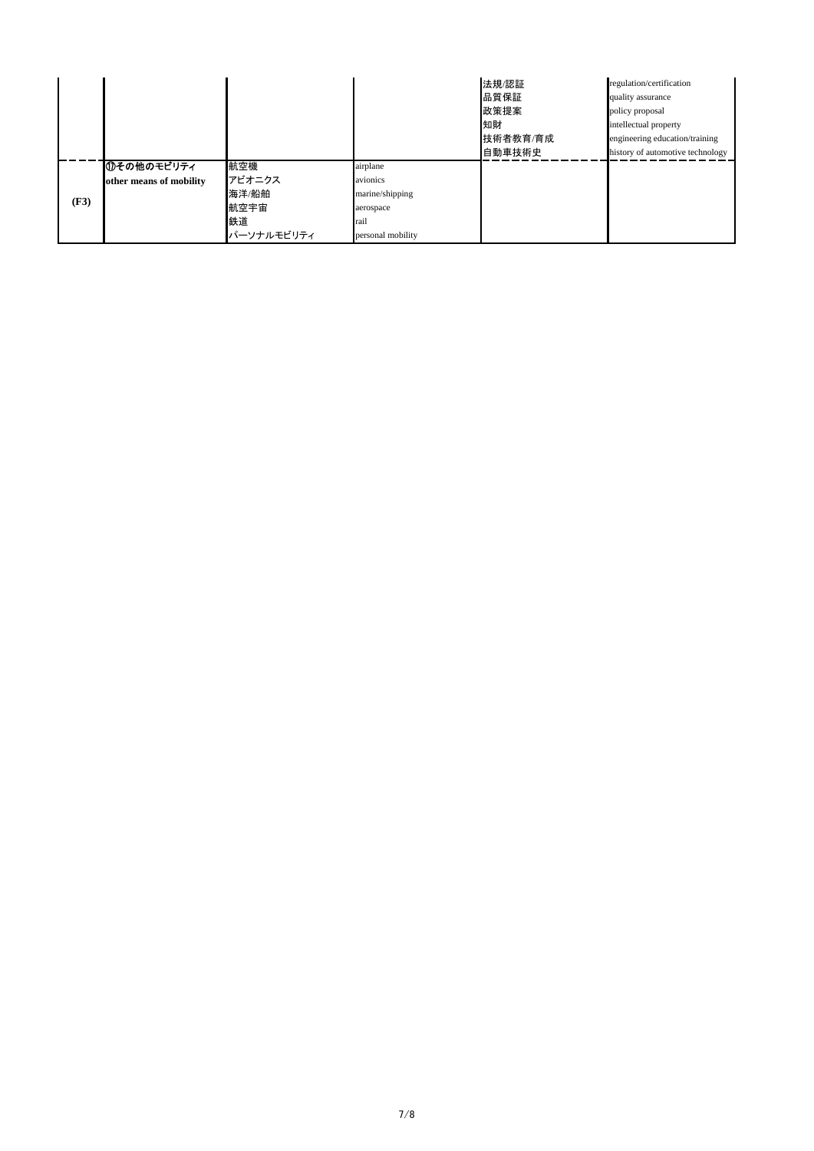|      |                         |            |                   | 法規/認証<br>品質保証<br>政策提案<br>知財<br>技術者教育/育成<br>自動車技術史 | regulation/certification<br>quality assurance<br>policy proposal<br>intellectual property<br>engineering education/training<br>history of automotive technology |
|------|-------------------------|------------|-------------------|---------------------------------------------------|-----------------------------------------------------------------------------------------------------------------------------------------------------------------|
|      | ⑪その他のモビリティ              | 航空機        | airplane          |                                                   |                                                                                                                                                                 |
|      | other means of mobility | アビオニクス     | avionics          |                                                   |                                                                                                                                                                 |
|      |                         | 海洋/船舶      | marine/shipping   |                                                   |                                                                                                                                                                 |
| (F3) |                         | 航空宇宙       | aerospace         |                                                   |                                                                                                                                                                 |
|      |                         | 鉄道         | rail              |                                                   |                                                                                                                                                                 |
|      |                         | パーソナルモビリティ | personal mobility |                                                   |                                                                                                                                                                 |